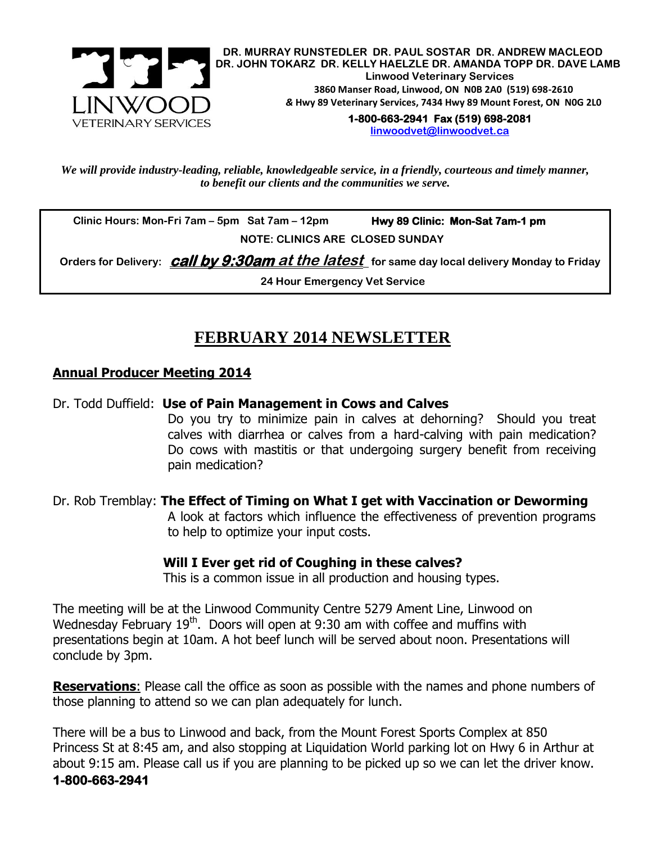

**DR. MURRAY RUNSTEDLER DR. PAUL SOSTAR DR. ANDREW MACLEOD DR. JOHN TOKARZ DR. KELLY HAELZLE DR. AMANDA TOPP DR. DAVE LAMB Linwood Veterinary Services 3860 Manser Road, Linwood, ON N0B 2A0 (519) 698-2610** *&* **Hwy 89 Veterinary Services, 7434 Hwy 89 Mount Forest, ON N0G 2L0 1-800-663-2941 Fax (519) 698-2081** 

**[linwoodvet@linwoodvet.ca](mailto:linwoodvet@linwoodvet.ca)**

*We will provide industry-leading, reliable, knowledgeable service, in a friendly, courteous and timely manner, to benefit our clients and the communities we serve.*

 **Clinic Hours: Mon-Fri 7am – 5pm Sat 7am – 12pm Hwy 89 Clinic: Mon-Sat 7am-1 pm**

 **NOTE: CLINICS ARE CLOSED SUNDAY**

 **Orders for Delivery: call by 9:30am at the latest for same day local delivery Monday to Friday**

**24 Hour Emergency Vet Service**

# **FEBRUARY 2014 NEWSLETTER**

### **Annual Producer Meeting 2014**

### Dr. Todd Duffield: **Use of Pain Management in Cows and Calves**

Do you try to minimize pain in calves at dehorning? Should you treat calves with diarrhea or calves from a hard-calving with pain medication? Do cows with mastitis or that undergoing surgery benefit from receiving pain medication?

## Dr. Rob Tremblay: **The Effect of Timing on What I get with Vaccination or Deworming**

A look at factors which influence the effectiveness of prevention programs to help to optimize your input costs.

### **Will I Ever get rid of Coughing in these calves?**

This is a common issue in all production and housing types.

The meeting will be at the Linwood Community Centre 5279 Ament Line, Linwood on Wednesday February 19<sup>th</sup>. Doors will open at 9:30 am with coffee and muffins with presentations begin at 10am. A hot beef lunch will be served about noon. Presentations will conclude by 3pm.

**Reservations**: Please call the office as soon as possible with the names and phone numbers of those planning to attend so we can plan adequately for lunch.

There will be a bus to Linwood and back, from the Mount Forest Sports Complex at 850 Princess St at 8:45 am, and also stopping at Liquidation World parking lot on Hwy 6 in Arthur at about 9:15 am. Please call us if you are planning to be picked up so we can let the driver know. **1-800-663-2941**